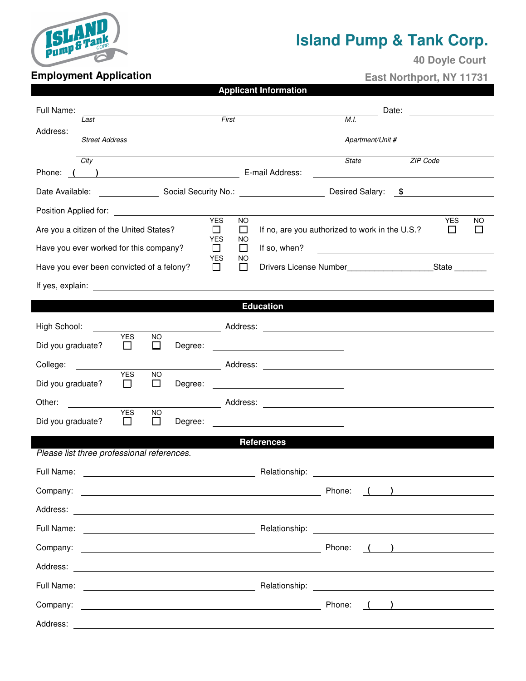

## **Island Pump & Tank Corp.**

 **40 Doyle Court** 

## **Employment Application**

 **East Northport, NY 11731** 

| <b>Applicant Information</b> |
|------------------------------|
|------------------------------|

| Full Name:                                                                                                                                                                                                                           | Date:                                                                          |  |  |  |  |  |
|--------------------------------------------------------------------------------------------------------------------------------------------------------------------------------------------------------------------------------------|--------------------------------------------------------------------------------|--|--|--|--|--|
| First<br>Last<br>Address:                                                                                                                                                                                                            | M.I.                                                                           |  |  |  |  |  |
| <b>Street Address</b>                                                                                                                                                                                                                | Apartment/Unit #                                                               |  |  |  |  |  |
| City                                                                                                                                                                                                                                 | <b>State</b><br>ZIP Code                                                       |  |  |  |  |  |
| ( ) E-mail Address:<br>Phone:                                                                                                                                                                                                        |                                                                                |  |  |  |  |  |
|                                                                                                                                                                                                                                      | Desired Salary: \$                                                             |  |  |  |  |  |
| Position Applied for: <u>[1994]</u><br><b>YES</b>                                                                                                                                                                                    | <b>NO</b><br><b>YES</b><br><b>NO</b>                                           |  |  |  |  |  |
| Are you a citizen of the United States?<br>$\Box$<br><b>YES</b>                                                                                                                                                                      | If no, are you authorized to work in the U.S.?<br>$\Box$<br>$\Box$<br>ΙI<br>NO |  |  |  |  |  |
| Have you ever worked for this company?<br>П<br><b>YES</b>                                                                                                                                                                            | $\Box$<br>If so, when?<br>NO                                                   |  |  |  |  |  |
| Have you ever been convicted of a felony?<br>□                                                                                                                                                                                       | $\Box$                                                                         |  |  |  |  |  |
| If yes, explain: <u>contract the set of the set of the set of the set of the set of the set of the set of the set of the set of the set of the set of the set of the set of the set of the set of the set of the set of the set </u> |                                                                                |  |  |  |  |  |
|                                                                                                                                                                                                                                      | <b>Education</b>                                                               |  |  |  |  |  |
| High School:                                                                                                                                                                                                                         |                                                                                |  |  |  |  |  |
| <b>YES</b><br><b>NO</b><br>Did you graduate?<br>□<br>$\Box$<br>Degree:                                                                                                                                                               | <u> 1980 - Johann Barn, mars eta bainar eta idazlea (</u>                      |  |  |  |  |  |
| College:                                                                                                                                                                                                                             |                                                                                |  |  |  |  |  |
| <b>YES</b><br><b>NO</b><br>Did you graduate?<br>□<br>П<br>Degree:                                                                                                                                                                    |                                                                                |  |  |  |  |  |
| Other:                                                                                                                                                                                                                               |                                                                                |  |  |  |  |  |
| <b>YES</b><br><b>NO</b><br>$\Box$<br>□<br>Did you graduate?<br>Degree:                                                                                                                                                               | <u> 1980 - Andrea Andrew Maria (h. 1980).</u>                                  |  |  |  |  |  |
| <b>References</b>                                                                                                                                                                                                                    |                                                                                |  |  |  |  |  |
| Please list three professional references.                                                                                                                                                                                           |                                                                                |  |  |  |  |  |
| Full Name:                                                                                                                                                                                                                           | Relationship:                                                                  |  |  |  |  |  |
| Company:<br><u> 1989 - Johann Harry Harry Harry Harry Harry Harry Harry Harry Harry Harry Harry Harry Harry Harry Harry Harry</u>                                                                                                    | Phone:                                                                         |  |  |  |  |  |
|                                                                                                                                                                                                                                      |                                                                                |  |  |  |  |  |
|                                                                                                                                                                                                                                      |                                                                                |  |  |  |  |  |
|                                                                                                                                                                                                                                      |                                                                                |  |  |  |  |  |
|                                                                                                                                                                                                                                      |                                                                                |  |  |  |  |  |
|                                                                                                                                                                                                                                      |                                                                                |  |  |  |  |  |
|                                                                                                                                                                                                                                      | $\begin{pmatrix} 1 & 1 \end{pmatrix}$                                          |  |  |  |  |  |
|                                                                                                                                                                                                                                      |                                                                                |  |  |  |  |  |